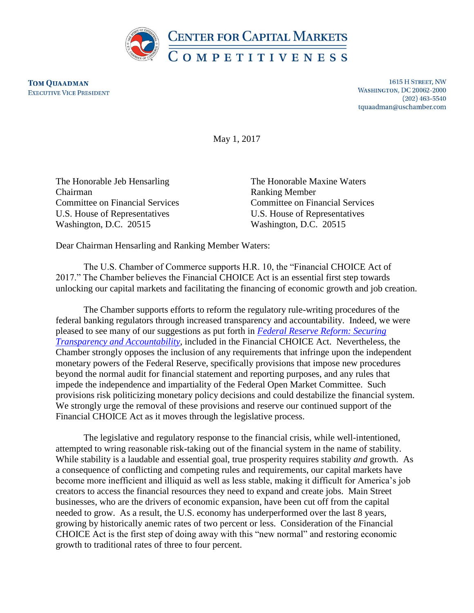

**TOM QUAADMAN EXECUTIVE VICE PRESIDENT** 

1615 H STREET, NW **WASHINGTON, DC 20062-2000**  $(202)$  463-5540 tquaadman@uschamber.com

May 1, 2017

The Honorable Jeb Hensarling The Honorable Maxine Waters Chairman Ranking Member U.S. House of Representatives U.S. House of Representatives Washington, D.C. 20515 Washington, D.C. 20515

Committee on Financial Services Committee on Financial Services

Dear Chairman Hensarling and Ranking Member Waters:

The U.S. Chamber of Commerce supports H.R. 10, the "Financial CHOICE Act of 2017." The Chamber believes the Financial CHOICE Act is an essential first step towards unlocking our capital markets and facilitating the financing of economic growth and job creation.

The Chamber supports efforts to reform the regulatory rule-writing procedures of the federal banking regulators through increased transparency and accountability. Indeed, we were pleased to see many of our suggestions as put forth in *[Federal Reserve Reform: Securing](https://www.uschamber.com/sites/default/files/documents/files/ccmc_-_federal_reserve_reform_agenda.pdf)  [Transparency and Accountability](https://www.uschamber.com/sites/default/files/documents/files/ccmc_-_federal_reserve_reform_agenda.pdf)*, included in the Financial CHOICE Act. Nevertheless, the Chamber strongly opposes the inclusion of any requirements that infringe upon the independent monetary powers of the Federal Reserve, specifically provisions that impose new procedures beyond the normal audit for financial statement and reporting purposes, and any rules that impede the independence and impartiality of the Federal Open Market Committee. Such provisions risk politicizing monetary policy decisions and could destabilize the financial system. We strongly urge the removal of these provisions and reserve our continued support of the Financial CHOICE Act as it moves through the legislative process.

The legislative and regulatory response to the financial crisis, while well-intentioned, attempted to wring reasonable risk-taking out of the financial system in the name of stability. While stability is a laudable and essential goal, true prosperity requires stability *and* growth. As a consequence of conflicting and competing rules and requirements, our capital markets have become more inefficient and illiquid as well as less stable, making it difficult for America's job creators to access the financial resources they need to expand and create jobs. Main Street businesses, who are the drivers of economic expansion, have been cut off from the capital needed to grow. As a result, the U.S. economy has underperformed over the last 8 years, growing by historically anemic rates of two percent or less. Consideration of the Financial CHOICE Act is the first step of doing away with this "new normal" and restoring economic growth to traditional rates of three to four percent.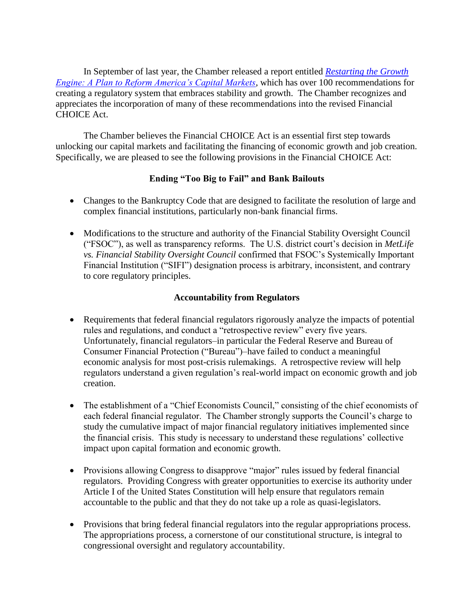In September of last year, the Chamber released a report entitled *[Restarting the Growth](https://www.uschamber.com/sites/default/files/documents/files/restarting_the_growth_engine_-_a_plan_to_reform_americas_capital_markets_final.pdf)  [Engine: A Plan to Reform America's Capital Markets](https://www.uschamber.com/sites/default/files/documents/files/restarting_the_growth_engine_-_a_plan_to_reform_americas_capital_markets_final.pdf)*, which has over 100 recommendations for creating a regulatory system that embraces stability and growth. The Chamber recognizes and appreciates the incorporation of many of these recommendations into the revised Financial CHOICE Act.

The Chamber believes the Financial CHOICE Act is an essential first step towards unlocking our capital markets and facilitating the financing of economic growth and job creation. Specifically, we are pleased to see the following provisions in the Financial CHOICE Act:

### **Ending "Too Big to Fail" and Bank Bailouts**

- Changes to the Bankruptcy Code that are designed to facilitate the resolution of large and complex financial institutions, particularly non-bank financial firms.
- Modifications to the structure and authority of the Financial Stability Oversight Council ("FSOC"), as well as transparency reforms. The U.S. district court's decision in *MetLife vs. Financial Stability Oversight Council* confirmed that FSOC's Systemically Important Financial Institution ("SIFI") designation process is arbitrary, inconsistent, and contrary to core regulatory principles.

## **Accountability from Regulators**

- Requirements that federal financial regulators rigorously analyze the impacts of potential rules and regulations, and conduct a "retrospective review" every five years. Unfortunately, financial regulators–in particular the Federal Reserve and Bureau of Consumer Financial Protection ("Bureau")–have failed to conduct a meaningful economic analysis for most post-crisis rulemakings. A retrospective review will help regulators understand a given regulation's real-world impact on economic growth and job creation.
- The establishment of a "Chief Economists Council," consisting of the chief economists of each federal financial regulator. The Chamber strongly supports the Council's charge to study the cumulative impact of major financial regulatory initiatives implemented since the financial crisis. This study is necessary to understand these regulations' collective impact upon capital formation and economic growth.
- Provisions allowing Congress to disapprove "major" rules issued by federal financial regulators. Providing Congress with greater opportunities to exercise its authority under Article I of the United States Constitution will help ensure that regulators remain accountable to the public and that they do not take up a role as quasi-legislators.
- Provisions that bring federal financial regulators into the regular appropriations process. The appropriations process, a cornerstone of our constitutional structure, is integral to congressional oversight and regulatory accountability.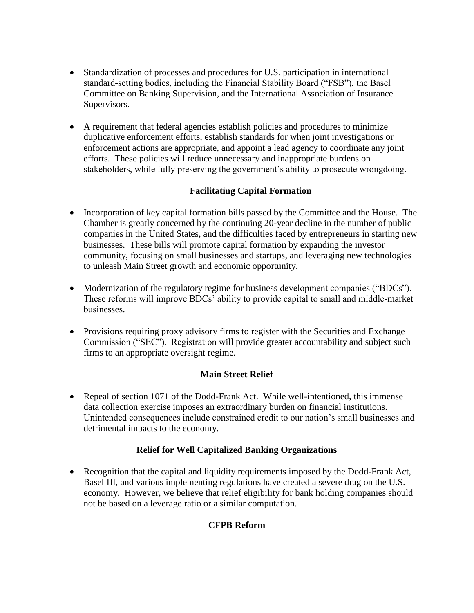- Standardization of processes and procedures for U.S. participation in international standard-setting bodies, including the Financial Stability Board ("FSB"), the Basel Committee on Banking Supervision, and the International Association of Insurance Supervisors.
- A requirement that federal agencies establish policies and procedures to minimize duplicative enforcement efforts, establish standards for when joint investigations or enforcement actions are appropriate, and appoint a lead agency to coordinate any joint efforts. These policies will reduce unnecessary and inappropriate burdens on stakeholders, while fully preserving the government's ability to prosecute wrongdoing.

# **Facilitating Capital Formation**

- Incorporation of key capital formation bills passed by the Committee and the House. The Chamber is greatly concerned by the continuing 20-year decline in the number of public companies in the United States, and the difficulties faced by entrepreneurs in starting new businesses. These bills will promote capital formation by expanding the investor community, focusing on small businesses and startups, and leveraging new technologies to unleash Main Street growth and economic opportunity.
- Modernization of the regulatory regime for business development companies ("BDCs"). These reforms will improve BDCs' ability to provide capital to small and middle-market businesses.
- Provisions requiring proxy advisory firms to register with the Securities and Exchange Commission ("SEC"). Registration will provide greater accountability and subject such firms to an appropriate oversight regime.

### **Main Street Relief**

• Repeal of section 1071 of the Dodd-Frank Act. While well-intentioned, this immense data collection exercise imposes an extraordinary burden on financial institutions. Unintended consequences include constrained credit to our nation's small businesses and detrimental impacts to the economy.

# **Relief for Well Capitalized Banking Organizations**

• Recognition that the capital and liquidity requirements imposed by the Dodd-Frank Act, Basel III, and various implementing regulations have created a severe drag on the U.S. economy. However, we believe that relief eligibility for bank holding companies should not be based on a leverage ratio or a similar computation.

# **CFPB Reform**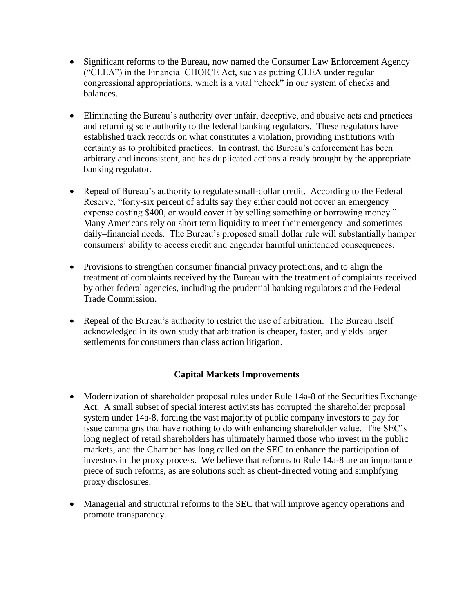- Significant reforms to the Bureau, now named the Consumer Law Enforcement Agency ("CLEA") in the Financial CHOICE Act, such as putting CLEA under regular congressional appropriations, which is a vital "check" in our system of checks and balances.
- Eliminating the Bureau's authority over unfair, deceptive, and abusive acts and practices and returning sole authority to the federal banking regulators. These regulators have established track records on what constitutes a violation, providing institutions with certainty as to prohibited practices. In contrast, the Bureau's enforcement has been arbitrary and inconsistent, and has duplicated actions already brought by the appropriate banking regulator.
- Repeal of Bureau's authority to regulate small-dollar credit. According to the Federal Reserve, "forty-six percent of adults say they either could not cover an emergency expense costing \$400, or would cover it by selling something or borrowing money." Many Americans rely on short term liquidity to meet their emergency–and sometimes daily–financial needs. The Bureau's proposed small dollar rule will substantially hamper consumers' ability to access credit and engender harmful unintended consequences.
- Provisions to strengthen consumer financial privacy protections, and to align the treatment of complaints received by the Bureau with the treatment of complaints received by other federal agencies, including the prudential banking regulators and the Federal Trade Commission.
- Repeal of the Bureau's authority to restrict the use of arbitration. The Bureau itself acknowledged in its own study that arbitration is cheaper, faster, and yields larger settlements for consumers than class action litigation.

# **Capital Markets Improvements**

- Modernization of shareholder proposal rules under Rule 14a-8 of the Securities Exchange Act. A small subset of special interest activists has corrupted the shareholder proposal system under 14a-8, forcing the vast majority of public company investors to pay for issue campaigns that have nothing to do with enhancing shareholder value. The SEC's long neglect of retail shareholders has ultimately harmed those who invest in the public markets, and the Chamber has long called on the SEC to enhance the participation of investors in the proxy process. We believe that reforms to Rule 14a-8 are an importance piece of such reforms, as are solutions such as client-directed voting and simplifying proxy disclosures.
- Managerial and structural reforms to the SEC that will improve agency operations and promote transparency.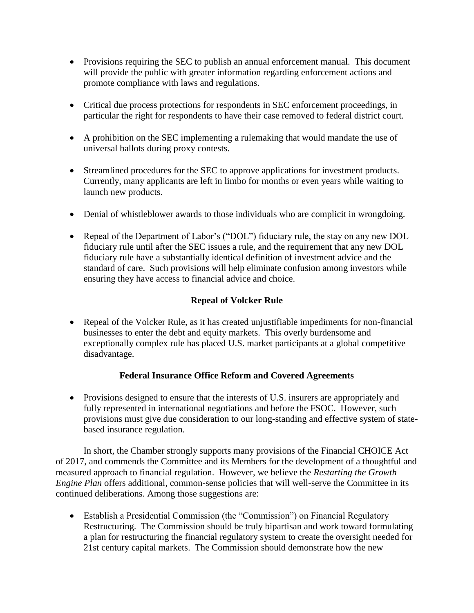- Provisions requiring the SEC to publish an annual enforcement manual. This document will provide the public with greater information regarding enforcement actions and promote compliance with laws and regulations.
- Critical due process protections for respondents in SEC enforcement proceedings, in particular the right for respondents to have their case removed to federal district court.
- A prohibition on the SEC implementing a rulemaking that would mandate the use of universal ballots during proxy contests.
- Streamlined procedures for the SEC to approve applications for investment products. Currently, many applicants are left in limbo for months or even years while waiting to launch new products.
- Denial of whistleblower awards to those individuals who are complicit in wrongdoing.
- Repeal of the Department of Labor's ("DOL") fiduciary rule, the stay on any new DOL fiduciary rule until after the SEC issues a rule, and the requirement that any new DOL fiduciary rule have a substantially identical definition of investment advice and the standard of care. Such provisions will help eliminate confusion among investors while ensuring they have access to financial advice and choice.

## **Repeal of Volcker Rule**

 Repeal of the Volcker Rule, as it has created unjustifiable impediments for non-financial businesses to enter the debt and equity markets. This overly burdensome and exceptionally complex rule has placed U.S. market participants at a global competitive disadvantage.

### **Federal Insurance Office Reform and Covered Agreements**

• Provisions designed to ensure that the interests of U.S. insurers are appropriately and fully represented in international negotiations and before the FSOC. However, such provisions must give due consideration to our long-standing and effective system of statebased insurance regulation.

In short, the Chamber strongly supports many provisions of the Financial CHOICE Act of 2017, and commends the Committee and its Members for the development of a thoughtful and measured approach to financial regulation. However, we believe the *Restarting the Growth Engine Plan* offers additional, common-sense policies that will well-serve the Committee in its continued deliberations. Among those suggestions are:

 Establish a Presidential Commission (the "Commission") on Financial Regulatory Restructuring. The Commission should be truly bipartisan and work toward formulating a plan for restructuring the financial regulatory system to create the oversight needed for 21st century capital markets. The Commission should demonstrate how the new